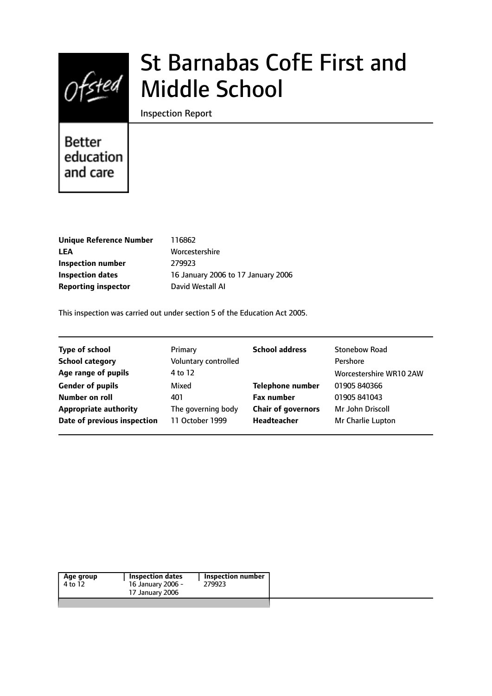

# St Barnabas CofE First and Middle School

Inspection Report

# **Better** education and care

| <b>Unique Reference Number</b> |
|--------------------------------|
| LEA                            |
| Inspection number              |
| <b>Inspection dates</b>        |
| <b>Reporting inspector</b>     |

**Unique Reference Number** 116862 **LEA** Worcestershire **Inspection number** 279923 **Inspection dates** 16 January 2006 to 17 January 2006 **David Westall AI** 

This inspection was carried out under section 5 of the Education Act 2005.

| <b>Type of school</b>        | Primary              | <b>School address</b>     | <b>Stonebow Road</b>    |
|------------------------------|----------------------|---------------------------|-------------------------|
| <b>School category</b>       | Voluntary controlled |                           | Pershore                |
| Age range of pupils          | 4 to 12              |                           | Worcestershire WR10 2AW |
| <b>Gender of pupils</b>      | Mixed                | <b>Telephone number</b>   | 01905 840366            |
| Number on roll               | 401                  | <b>Fax number</b>         | 01905 841043            |
| <b>Appropriate authority</b> | The governing body   | <b>Chair of governors</b> | Mr John Driscoll        |
| Date of previous inspection  | 11 October 1999      | Headteacher               | Mr Charlie Lupton       |
|                              |                      |                           |                         |

| Age group | <b>Inspection dates</b> | Inspection number |  |
|-----------|-------------------------|-------------------|--|
| 4 to 12   | 16 January 2006 -       | 279923            |  |
|           | 17 January 2006         |                   |  |
|           |                         |                   |  |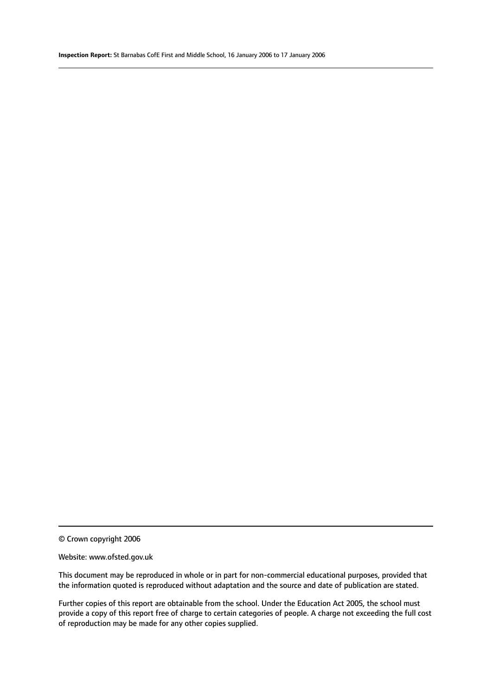© Crown copyright 2006

#### Website: www.ofsted.gov.uk

This document may be reproduced in whole or in part for non-commercial educational purposes, provided that the information quoted is reproduced without adaptation and the source and date of publication are stated.

Further copies of this report are obtainable from the school. Under the Education Act 2005, the school must provide a copy of this report free of charge to certain categories of people. A charge not exceeding the full cost of reproduction may be made for any other copies supplied.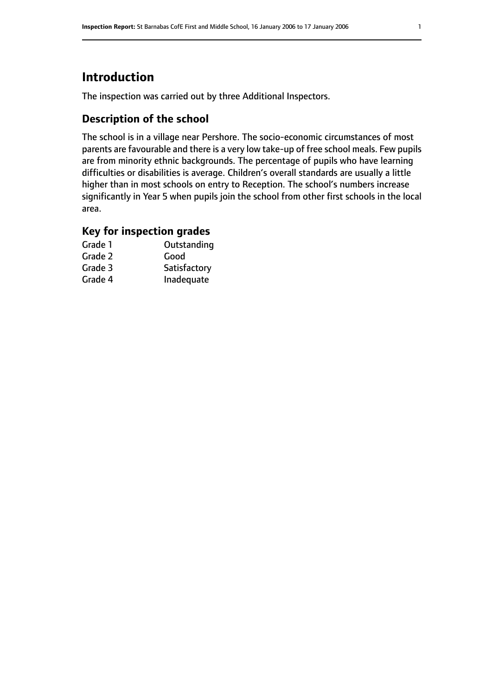# **Introduction**

The inspection was carried out by three Additional Inspectors.

# **Description of the school**

The school is in a village near Pershore. The socio-economic circumstances of most parents are favourable and there is a very low take-up of free school meals. Few pupils are from minority ethnic backgrounds. The percentage of pupils who have learning difficulties or disabilities is average. Children's overall standards are usually a little higher than in most schools on entry to Reception. The school's numbers increase significantly in Year 5 when pupils join the school from other first schools in the local area.

# **Key for inspection grades**

| Grade 1 | Outstanding  |
|---------|--------------|
| Grade 2 | Good         |
| Grade 3 | Satisfactory |
| Grade 4 | Inadequate   |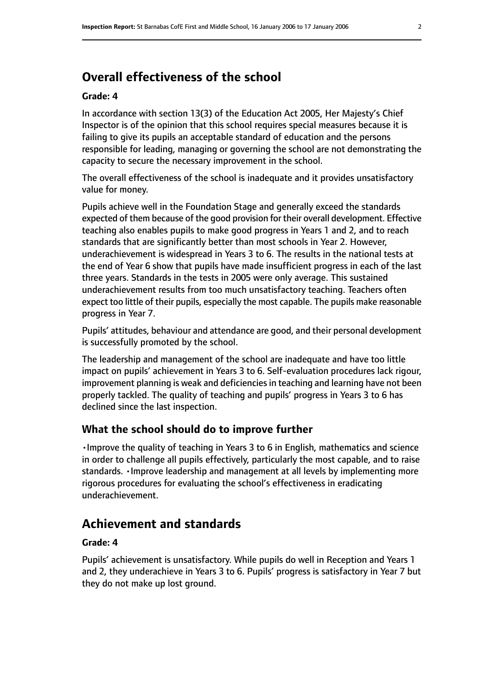# **Overall effectiveness of the school**

#### **Grade: 4**

In accordance with section 13(3) of the Education Act 2005, Her Majesty's Chief Inspector is of the opinion that this school requires special measures because it is failing to give its pupils an acceptable standard of education and the persons responsible for leading, managing or governing the school are not demonstrating the capacity to secure the necessary improvement in the school.

The overall effectiveness of the school is inadequate and it provides unsatisfactory value for money.

Pupils achieve well in the Foundation Stage and generally exceed the standards expected of them because of the good provision for their overall development. Effective teaching also enables pupils to make good progress in Years 1 and 2, and to reach standards that are significantly better than most schools in Year 2. However, underachievement is widespread in Years 3 to 6. The results in the national tests at the end of Year 6 show that pupils have made insufficient progress in each of the last three years. Standards in the tests in 2005 were only average. This sustained underachievement results from too much unsatisfactory teaching. Teachers often expect too little of their pupils, especially the most capable. The pupils make reasonable progress in Year 7.

Pupils' attitudes, behaviour and attendance are good, and their personal development is successfully promoted by the school.

The leadership and management of the school are inadequate and have too little impact on pupils' achievement in Years 3 to 6. Self-evaluation procedures lack rigour, improvement planning is weak and deficiencies in teaching and learning have not been properly tackled. The quality of teaching and pupils' progress in Years 3 to 6 has declined since the last inspection.

#### **What the school should do to improve further**

•Improve the quality of teaching in Years 3 to 6 in English, mathematics and science in order to challenge all pupils effectively, particularly the most capable, and to raise standards. •Improve leadership and management at all levels by implementing more rigorous procedures for evaluating the school's effectiveness in eradicating underachievement.

# **Achievement and standards**

#### **Grade: 4**

Pupils' achievement is unsatisfactory. While pupils do well in Reception and Years 1 and 2, they underachieve in Years 3 to 6. Pupils' progress is satisfactory in Year 7 but they do not make up lost ground.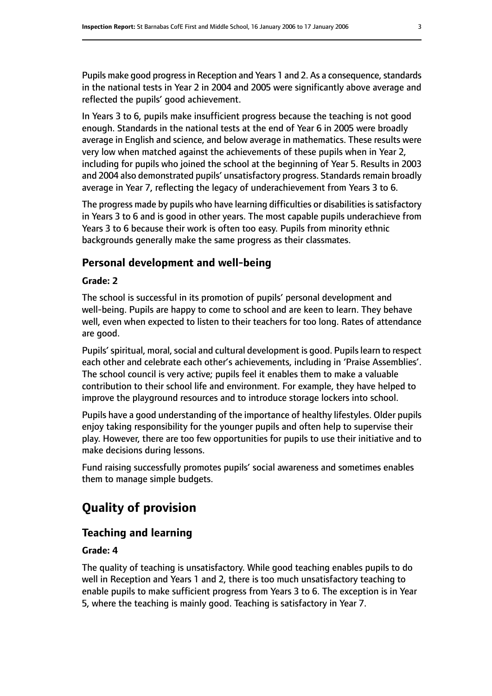Pupils make good progress in Reception and Years 1 and 2. As a consequence, standards in the national tests in Year 2 in 2004 and 2005 were significantly above average and reflected the pupils' good achievement.

In Years 3 to 6, pupils make insufficient progress because the teaching is not good enough. Standards in the national tests at the end of Year 6 in 2005 were broadly average in English and science, and below average in mathematics. These results were very low when matched against the achievements of these pupils when in Year 2, including for pupils who joined the school at the beginning of Year 5. Results in 2003 and 2004 also demonstrated pupils' unsatisfactory progress. Standards remain broadly average in Year 7, reflecting the legacy of underachievement from Years 3 to 6.

The progress made by pupils who have learning difficulties or disabilities is satisfactory in Years 3 to 6 and is good in other years. The most capable pupils underachieve from Years 3 to 6 because their work is often too easy. Pupils from minority ethnic backgrounds generally make the same progress as their classmates.

# **Personal development and well-being**

#### **Grade: 2**

The school is successful in its promotion of pupils' personal development and well-being. Pupils are happy to come to school and are keen to learn. They behave well, even when expected to listen to their teachers for too long. Rates of attendance are good.

Pupils' spiritual, moral, social and cultural development is good. Pupils learn to respect each other and celebrate each other's achievements, including in 'Praise Assemblies'. The school council is very active; pupils feel it enables them to make a valuable contribution to their school life and environment. For example, they have helped to improve the playground resources and to introduce storage lockers into school.

Pupils have a good understanding of the importance of healthy lifestyles. Older pupils enjoy taking responsibility for the younger pupils and often help to supervise their play. However, there are too few opportunities for pupils to use their initiative and to make decisions during lessons.

Fund raising successfully promotes pupils' social awareness and sometimes enables them to manage simple budgets.

# **Quality of provision**

# **Teaching and learning**

#### **Grade: 4**

The quality of teaching is unsatisfactory. While good teaching enables pupils to do well in Reception and Years 1 and 2, there is too much unsatisfactory teaching to enable pupils to make sufficient progress from Years 3 to 6. The exception is in Year 5, where the teaching is mainly good. Teaching is satisfactory in Year 7.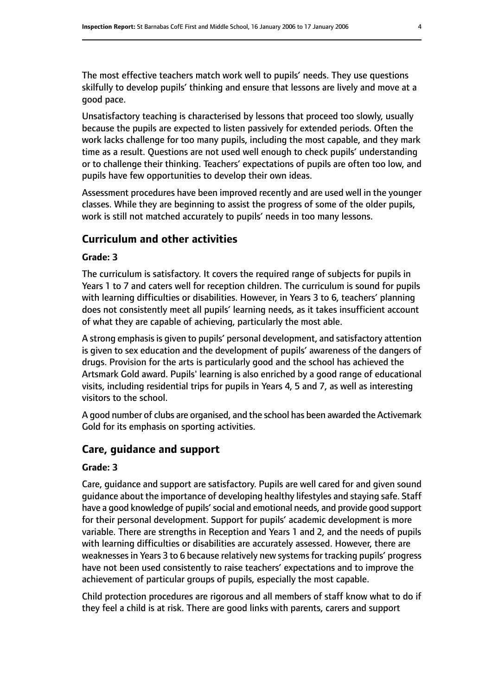The most effective teachers match work well to pupils' needs. They use questions skilfully to develop pupils' thinking and ensure that lessons are lively and move at a good pace.

Unsatisfactory teaching is characterised by lessons that proceed too slowly, usually because the pupils are expected to listen passively for extended periods. Often the work lacks challenge for too many pupils, including the most capable, and they mark time as a result. Questions are not used well enough to check pupils' understanding or to challenge their thinking. Teachers' expectations of pupils are often too low, and pupils have few opportunities to develop their own ideas.

Assessment procedures have been improved recently and are used well in the younger classes. While they are beginning to assist the progress of some of the older pupils, work is still not matched accurately to pupils' needs in too many lessons.

# **Curriculum and other activities**

#### **Grade: 3**

The curriculum is satisfactory. It covers the required range of subjects for pupils in Years 1 to 7 and caters well for reception children. The curriculum is sound for pupils with learning difficulties or disabilities. However, in Years 3 to 6, teachers' planning does not consistently meet all pupils' learning needs, as it takes insufficient account of what they are capable of achieving, particularly the most able.

A strong emphasis is given to pupils' personal development, and satisfactory attention is given to sex education and the development of pupils' awareness of the dangers of drugs. Provision for the arts is particularly good and the school has achieved the Artsmark Gold award. Pupils' learning is also enriched by a good range of educational visits, including residential trips for pupils in Years 4, 5 and 7, as well as interesting visitors to the school.

A good number of clubs are organised, and the school has been awarded the Activemark Gold for its emphasis on sporting activities.

# **Care, guidance and support**

#### **Grade: 3**

Care, guidance and support are satisfactory. Pupils are well cared for and given sound guidance about the importance of developing healthy lifestyles and staying safe. Staff have a good knowledge of pupils'social and emotional needs, and provide good support for their personal development. Support for pupils' academic development is more variable. There are strengths in Reception and Years 1 and 2, and the needs of pupils with learning difficulties or disabilities are accurately assessed. However, there are weaknesses in Years 3 to 6 because relatively new systems for tracking pupils' progress have not been used consistently to raise teachers' expectations and to improve the achievement of particular groups of pupils, especially the most capable.

Child protection procedures are rigorous and all members of staff know what to do if they feel a child is at risk. There are good links with parents, carers and support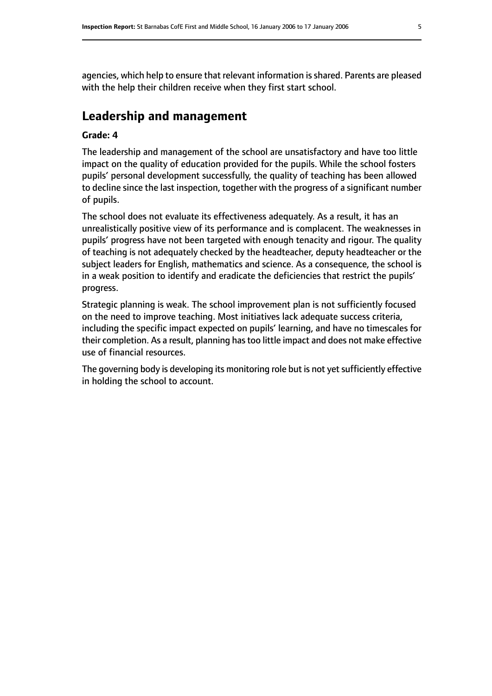agencies, which help to ensure that relevant information isshared. Parents are pleased with the help their children receive when they first start school.

# **Leadership and management**

#### **Grade: 4**

The leadership and management of the school are unsatisfactory and have too little impact on the quality of education provided for the pupils. While the school fosters pupils' personal development successfully, the quality of teaching has been allowed to decline since the last inspection, together with the progress of a significant number of pupils.

The school does not evaluate its effectiveness adequately. As a result, it has an unrealistically positive view of its performance and is complacent. The weaknesses in pupils' progress have not been targeted with enough tenacity and rigour. The quality of teaching is not adequately checked by the headteacher, deputy headteacher or the subject leaders for English, mathematics and science. As a consequence, the school is in a weak position to identify and eradicate the deficiencies that restrict the pupils' progress.

Strategic planning is weak. The school improvement plan is not sufficiently focused on the need to improve teaching. Most initiatives lack adequate success criteria, including the specific impact expected on pupils' learning, and have no timescales for their completion. As a result, planning has too little impact and does not make effective use of financial resources.

The governing body is developing its monitoring role but is not yet sufficiently effective in holding the school to account.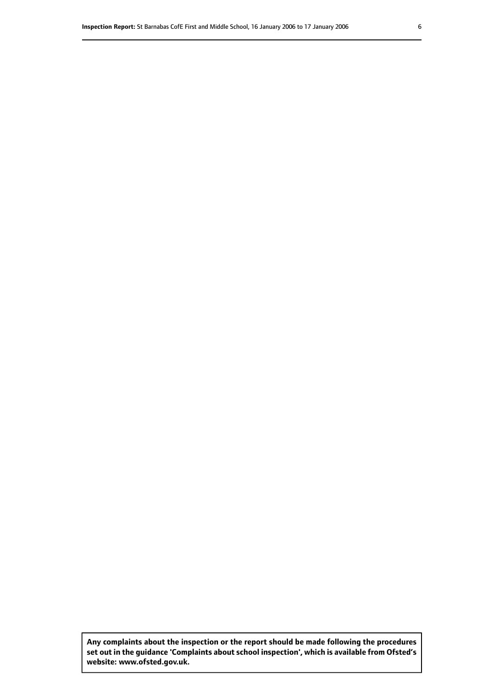**Any complaints about the inspection or the report should be made following the procedures set out inthe guidance 'Complaints about school inspection', whichis available from Ofsted's website: www.ofsted.gov.uk.**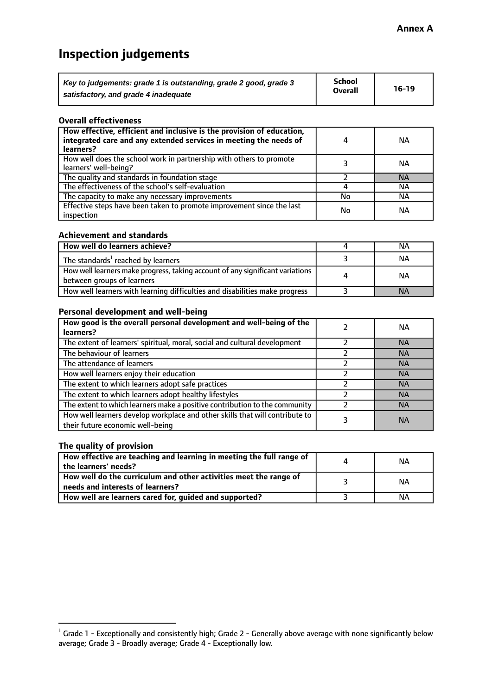# **Inspection judgements**

| Key to judgements: grade 1 is outstanding, grade 2 good, grade 3 | <b>School</b>  | $16-19$ |
|------------------------------------------------------------------|----------------|---------|
| satisfactory, and grade 4 inadequate                             | <b>Overall</b> |         |

#### **Overall effectiveness**

| How effective, efficient and inclusive is the provision of education,<br>integrated care and any extended services in meeting the needs of<br>learners? |    | <b>NA</b> |
|---------------------------------------------------------------------------------------------------------------------------------------------------------|----|-----------|
| How well does the school work in partnership with others to promote<br>learners' well-being?                                                            |    | ΝA        |
| The quality and standards in foundation stage                                                                                                           |    | <b>NA</b> |
| The effectiveness of the school's self-evaluation                                                                                                       |    | ΝA        |
| The capacity to make any necessary improvements                                                                                                         | No | NА        |
| Effective steps have been taken to promote improvement since the last<br>inspection                                                                     | No | <b>NA</b> |

#### **Achievement and standards**

| How well do learners achieve?                                                                               | NА        |
|-------------------------------------------------------------------------------------------------------------|-----------|
| The standards <sup>1</sup> reached by learners                                                              | ΝA        |
| How well learners make progress, taking account of any significant variations<br>between groups of learners | <b>NA</b> |
| How well learners with learning difficulties and disabilities make progress                                 | <b>NA</b> |

#### **Personal development and well-being**

| How good is the overall personal development and well-being of the<br>learners?                                  | ΝA        |
|------------------------------------------------------------------------------------------------------------------|-----------|
| The extent of learners' spiritual, moral, social and cultural development                                        | <b>NA</b> |
| The behaviour of learners                                                                                        | <b>NA</b> |
| The attendance of learners                                                                                       | <b>NA</b> |
| How well learners enjoy their education                                                                          | <b>NA</b> |
| The extent to which learners adopt safe practices                                                                | <b>NA</b> |
| The extent to which learners adopt healthy lifestyles                                                            | <b>NA</b> |
| The extent to which learners make a positive contribution to the community                                       | <b>NA</b> |
| How well learners develop workplace and other skills that will contribute to<br>their future economic well-being | <b>NA</b> |

### **The quality of provision**

| How effective are teaching and learning in meeting the full range of<br>the learners' needs?          | ΝA |
|-------------------------------------------------------------------------------------------------------|----|
| How well do the curriculum and other activities meet the range of<br>needs and interests of learners? | ΝA |
| How well are learners cared for, guided and supported?                                                | NА |

 $^1$  Grade 1 - Exceptionally and consistently high; Grade 2 - Generally above average with none significantly below average; Grade 3 - Broadly average; Grade 4 - Exceptionally low.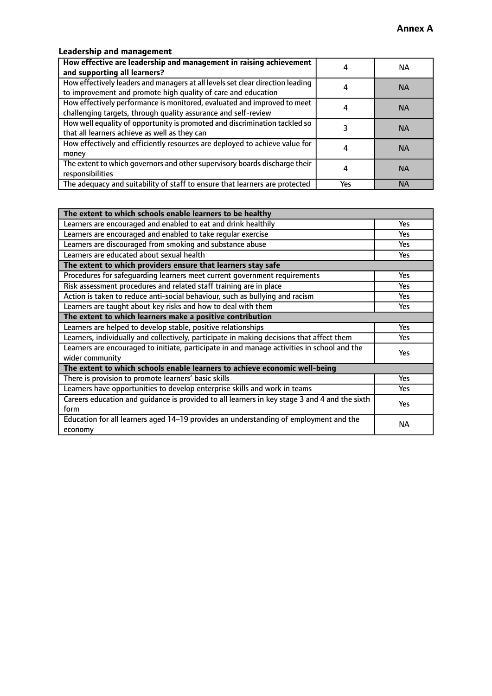# **Leadership and management**

| How effective are leadership and management in raising achievement<br>and supporting all learners?                                              |     | NA.       |
|-------------------------------------------------------------------------------------------------------------------------------------------------|-----|-----------|
| How effectively leaders and managers at all levels set clear direction leading<br>to improvement and promote high quality of care and education |     | <b>NA</b> |
| How effectively performance is monitored, evaluated and improved to meet<br>challenging targets, through quality assurance and self-review      |     | <b>NA</b> |
| How well equality of opportunity is promoted and discrimination tackled so<br>that all learners achieve as well as they can                     |     | <b>NA</b> |
| How effectively and efficiently resources are deployed to achieve value for<br>money                                                            |     | <b>NA</b> |
| The extent to which governors and other supervisory boards discharge their<br>responsibilities                                                  |     | <b>NA</b> |
| The adequacy and suitability of staff to ensure that learners are protected                                                                     | Yes | <b>NA</b> |

| The extent to which schools enable learners to be healthy                                     |            |  |
|-----------------------------------------------------------------------------------------------|------------|--|
| Learners are encouraged and enabled to eat and drink healthily                                | Yes        |  |
| Learners are encouraged and enabled to take regular exercise                                  | <b>Yes</b> |  |
| Learners are discouraged from smoking and substance abuse                                     | Yes        |  |
| Learners are educated about sexual health                                                     | Yes        |  |
| The extent to which providers ensure that learners stay safe                                  |            |  |
| Procedures for safequarding learners meet current government requirements                     | Yes        |  |
| Risk assessment procedures and related staff training are in place                            | <b>Yes</b> |  |
| Action is taken to reduce anti-social behaviour, such as bullying and racism                  | <b>Yes</b> |  |
| Learners are taught about key risks and how to deal with them                                 | Yes        |  |
| The extent to which learners make a positive contribution                                     |            |  |
| Learners are helped to develop stable, positive relationships                                 | Yes        |  |
| Learners, individually and collectively, participate in making decisions that affect them     | Yes        |  |
| Learners are encouraged to initiate, participate in and manage activities in school and the   | <b>Yes</b> |  |
| wider community                                                                               |            |  |
| The extent to which schools enable learners to achieve economic well-being                    |            |  |
| There is provision to promote learners' basic skills                                          | Yes        |  |
| Learners have opportunities to develop enterprise skills and work in teams                    | Yes        |  |
| Careers education and guidance is provided to all learners in key stage 3 and 4 and the sixth | Yes        |  |
| form                                                                                          |            |  |
| Education for all learners aged 14-19 provides an understanding of employment and the         | NА         |  |
| economy                                                                                       |            |  |